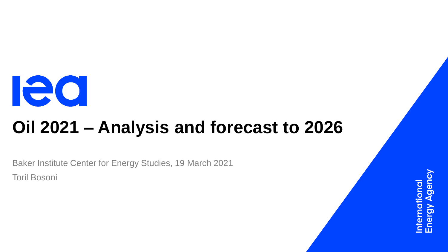

# **Oil 2021 – Analysis and forecast to 2026**

Baker Institute Center for Energy Studies, 19 March 2021 Toril Bosoni

ational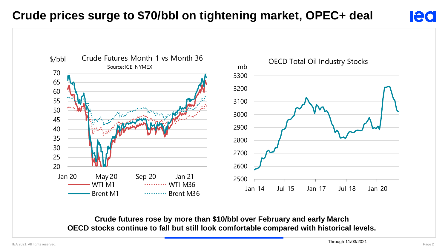#### **Crude prices surge to \$70/bbl on tightening market, OPEC+ deal**

**lea** 



**Crude futures rose by more than \$10/bbl over February and early March OECD stocks continue to fall but still look comfortable compared with historical levels.**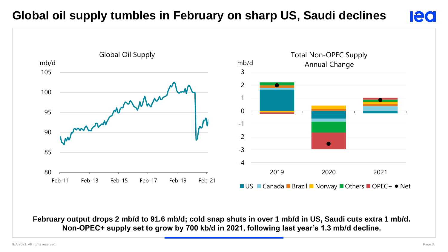#### **Global oil supply tumbles in February on sharp US, Saudi declines**





**February output drops 2 mb/d to 91.6 mb/d; cold snap shuts in over 1 mb/d in US, Saudi cuts extra 1 mb/d. Non-OPEC+ supply set to grow by 700 kb/d in 2021, following last year's 1.3 mb/d decline.**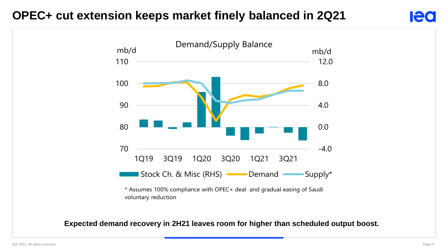#### **OPEC+ cut extension keeps market finely balanced in 2Q21**



\* Assumes 100% compliance with OPEC+ deal and gradual easing of Saudi voluntary reduction

#### **Expected demand recovery in 2H21 leaves room for higher than scheduled output boost.**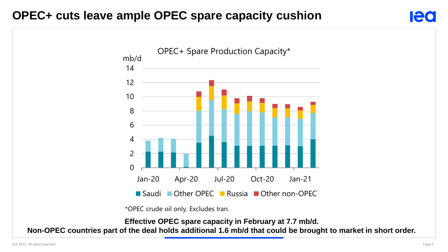#### **OPEC+ cuts leave ample OPEC spare capacity cushion**



\*OPEC crude oil only. Excludes Iran.

**Effective OPEC spare capacity in February at 7.7 mb/d.** 

**Non-OPEC countries part of the deal holds additional 1.6 mb/d that could be brought to market in short order.**

**Ied**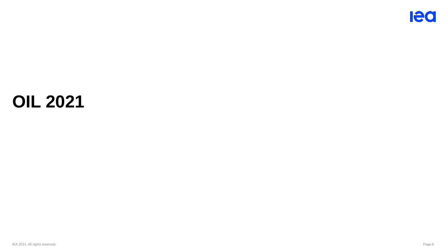## **OIL 2021**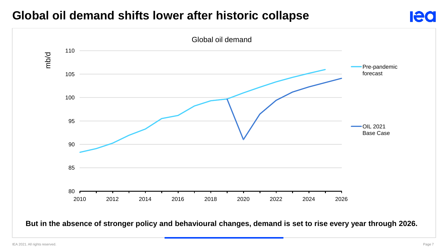### **Global oil demand shifts lower after historic collapse**



**But in the absence of stronger policy and behavioural changes, demand is set to rise every year through 2026.**

**lea**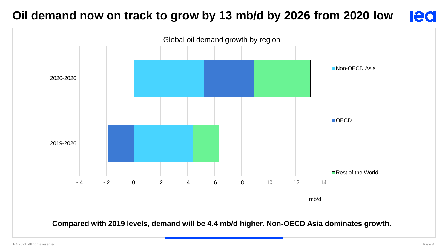#### **Oil demand now on track to grow by 13 mb/d by 2026 from 2020 low Ieo**



**Compared with 2019 levels, demand will be 4.4 mb/d higher. Non-OECD Asia dominates growth.**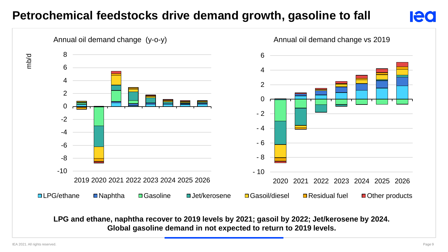#### **Petrochemical feedstocks drive demand growth, gasoline to fall**

#### Annual oil demand change (y-o-y) Annual oil demand change vs 2019 -10 -8 -6  $-4$ -2  $\Omega$  $\mathfrak{p}$ 4 6 8  $\begin{array}{r} 8 \\ 6 \\ 4 \\ 2 \\ 2 \\ 0 \\ -2 \\ -4 \\ -6 \\ -8 \\ -10 \\ 2019 \, 2020 \, 2021 \, 2022 \, 2023 \, 2024 \, 2025 \, 2026 \end{array}$ **□LPG/ethane ■Naphtha □Gasoline ■Jet/kerosene □Gasoil/diesel ■Residual fuel ■Other products** - 10 - 8 - 6 - 4 - 2  $\Omega$  $\mathfrak{D}$  4 6 2020 2021 2022 2023 2024 2025 2026

**LPG and ethane, naphtha recover to 2019 levels by 2021; gasoil by 2022; Jet/kerosene by 2024. Global gasoline demand in not expected to return to 2019 levels.**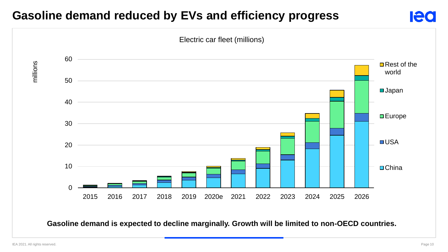#### **Gasoline demand reduced by EVs and efficiency progress**



**Gasoline demand is expected to decline marginally. Growth will be limited to non-OECD countries.**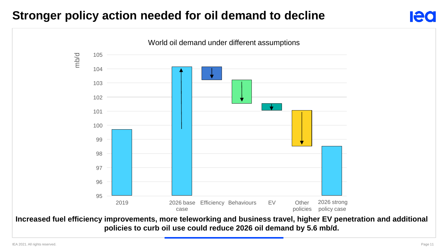#### **Stronger policy action needed for oil demand to decline**



**policies to curb oil use could reduce 2026 oil demand by 5.6 mb/d.**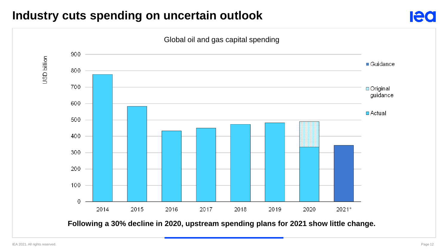#### **Industry cuts spending on uncertain outlook**



**Ied**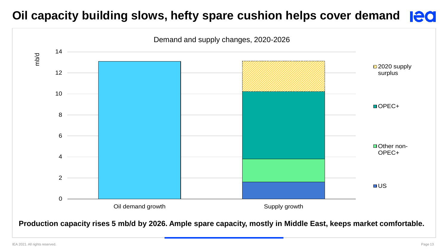### **Oil capacity building slows, hefty spare cushion helps cover demand equally**

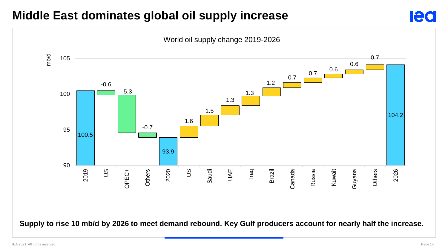### **Middle East dominates global oil supply increase**



**Supply to rise 10 mb/d by 2026 to meet demand rebound. Key Gulf producers account for nearly half the increase.**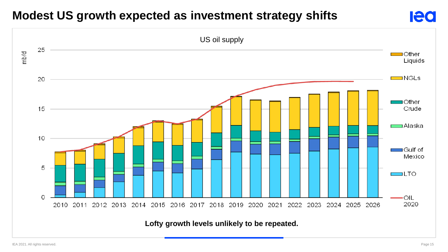### **Modest US growth expected as investment strategy shifts**

![](_page_14_Figure_1.jpeg)

**lea**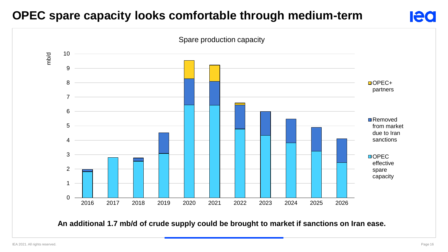### **OPEC spare capacity looks comfortable through medium-term**

![](_page_15_Figure_1.jpeg)

**An additional 1.7 mb/d of crude supply could be brought to market if sanctions on Iran ease.**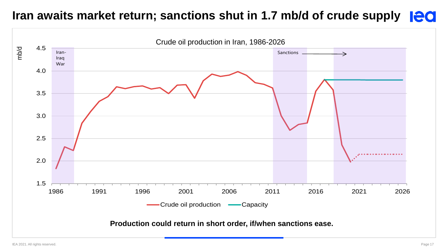#### **Iran awaits market return; sanctions shut in 1.7 mb/d of crude supply led**

![](_page_16_Figure_1.jpeg)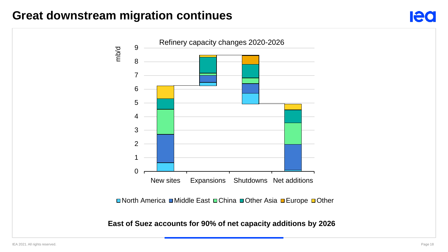#### **Great downstream migration continues**

![](_page_17_Figure_1.jpeg)

![](_page_17_Figure_2.jpeg)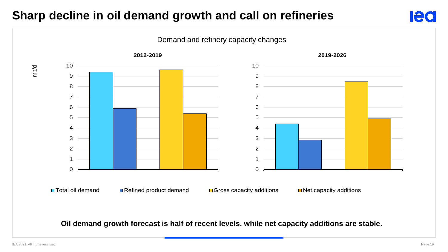#### **Sharp decline in oil demand growth and call on refineries**

![](_page_18_Figure_1.jpeg)

#### **Oil demand growth forecast is half of recent levels, while net capacity additions are stable.**

lea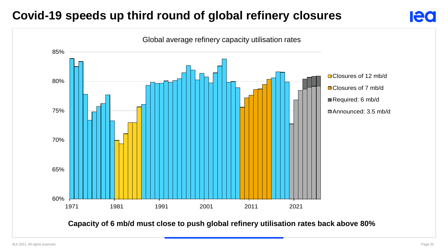### **Covid-19 speeds up third round of global refinery closures**

![](_page_19_Figure_1.jpeg)

**Capacity of 6 mb/d must close to push global refinery utilisation rates back above 80%**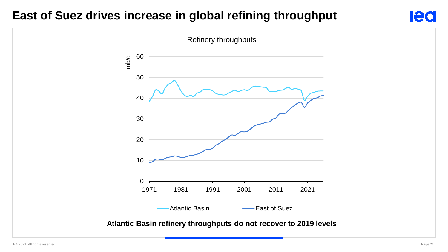#### **East of Suez drives increase in global refining throughput**

![](_page_20_Figure_1.jpeg)

**lea**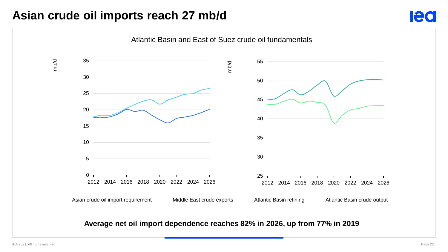#### **Asian crude oil imports reach 27 mb/d**

![](_page_21_Figure_1.jpeg)

**Average net oil import dependence reaches 82% in 2026, up from 77% in 2019**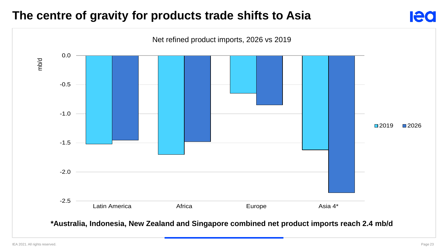#### **The centre of gravity for products trade shifts to Asia**

![](_page_22_Figure_1.jpeg)

![](_page_22_Figure_2.jpeg)